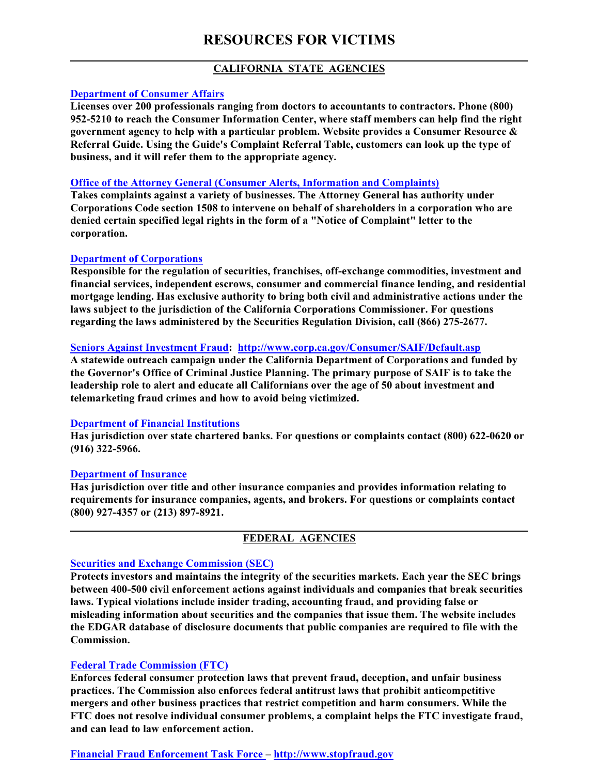# **RESOURCES FOR VICTIMS**

# **CALIFORNIA STATE AGENCIES**

## **[Department of Consumer Affairs](http://www.dca.ca.gov/)**

**Licenses over 200 professionals ranging from doctors to accountants to contractors. Phone (800) 952-5210 to reach the Consumer Information Center, where staff members can help find the right government agency to help with a particular problem. Website provides a Consumer Resource & Referral Guide. Using the Guide's Complaint Referral Table, customers can look up the type of business, and it will refer them to the appropriate agency.**

#### **[Office of the Attorney General \(Consumer Alerts, Information and Complaints\)](http://ag.ca.gov/consumers/general.php)**

**Takes complaints against a variety of businesses. The Attorney General has authority under Corporations Code section 1508 to intervene on behalf of shareholders in a corporation who are denied certain specified legal rights in the form of a "Notice of Complaint" letter to the corporation.**

#### **[Department of Corporations](http://www.corp.ca.gov/)**

**Responsible for the regulation of securities, franchises, off-exchange commodities, investment and financial services, independent escrows, consumer and commercial finance lending, and residential mortgage lending. Has exclusive authority to bring both civil and administrative actions under the laws subject to the jurisdiction of the California Corporations Commissioner. For questions regarding the laws administered by the Securities Regulation Division, call (866) 275-2677.**

## **Seniors Against Investment Fraud: <http://www.corp.ca.gov/Consumer/SAIF/Default.asp>**

**A statewide outreach campaign under the California Department of Corporations and funded by the Governor's Office of Criminal Justice Planning. The primary purpose of SAIF is to take the leadership role to alert and educate all Californians over the age of 50 about investment and telemarketing fraud crimes and how to avoid being victimized.**

#### **[Department of Financial Institutions](http://www.dfi.ca.gov/)**

**Has jurisdiction over state chartered banks. For questions or complaints contact (800) 622-0620 or (916) 322-5966.**

#### **[Department of Insurance](http://www.insurance.ca.gov/)**

**Has jurisdiction over title and other insurance companies and provides information relating to requirements for insurance companies, agents, and brokers. For questions or complaints contact (800) 927-4357 or (213) 897-8921.**

# **FEDERAL AGENCIES**

## **[Securities and Exchange Commission \(SEC\)](http://www.sec.gov/)**

**Protects investors and maintains the integrity of the securities markets. Each year the SEC brings between 400-500 civil enforcement actions against individuals and companies that break securities laws. Typical violations include insider trading, accounting fraud, and providing false or misleading information about securities and the companies that issue them. The website includes the EDGAR database of disclosure documents that public companies are required to file with the Commission.**

## **[Federal Trade Commission \(FTC\)](http://www.ftc.gov/)**

**Enforces federal consumer protection laws that prevent fraud, deception, and unfair business practices. The Commission also enforces federal antitrust laws that prohibit anticompetitive mergers and other business practices that restrict competition and harm consumers. While the FTC does not resolve individual consumer problems, a complaint helps the FTC investigate fraud, and can lead to law enforcement action.**

## **Financial Fraud Enforcement Task Force –<http://www.stopfraud.gov>**